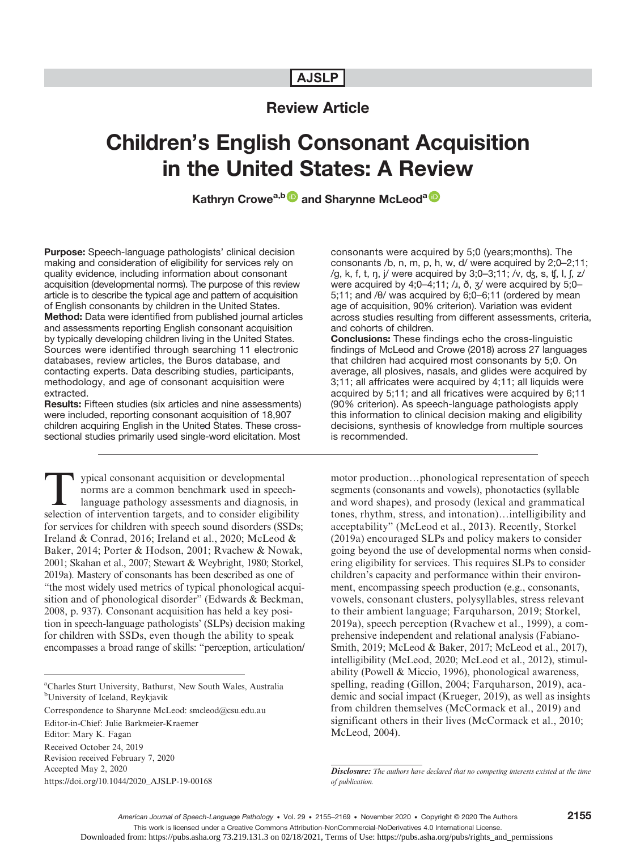# AJSLP

# Review Article

# Children's English Consonant Acquisition in the United States: A Review

# Kathryn Crowe<sup>a,b and Sharynne McLeoda</sub></sup>

Purpose: Speech-language pathologists' clinical decision making and consideration of eligibility for services rely on quality evidence, including information about consonant acquisition (developmental norms). The purpose of this review article is to describe the typical age and pattern of acquisition of English consonants by children in the United States. Method: Data were identified from published journal articles and assessments reporting English consonant acquisition by typically developing children living in the United States. Sources were identified through searching 11 electronic databases, review articles, the Buros database, and contacting experts. Data describing studies, participants, methodology, and age of consonant acquisition were extracted.

Results: Fifteen studies (six articles and nine assessments) were included, reporting consonant acquisition of 18,907 children acquiring English in the United States. These crosssectional studies primarily used single-word elicitation. Most

Formula consonant acquisition or developmental<br>
norms are a common benchmark used in speech-<br>
language pathology assessments and diagnosis, in<br>
selection of intervention targets, and to consider eligibility norms are a common benchmark used in speechselection of intervention targets, and to consider eligibility for services for children with speech sound disorders (SSDs; Ireland & Conrad, 2016; Ireland et al., 2020; McLeod & Baker, 2014; Porter & Hodson, 2001; Rvachew & Nowak, 2001; Skahan et al., 2007; Stewart & Weybright, 1980; Storkel, 2019a). Mastery of consonants has been described as one of "the most widely used metrics of typical phonological acquisition and of phonological disorder" (Edwards & Beckman, 2008, p. 937). Consonant acquisition has held a key position in speech-language pathologists' (SLPs) decision making for children with SSDs, even though the ability to speak encompasses a broad range of skills: "perception, articulation/

Correspondence to Sharynne McLeod: smcleod@csu.edu.au

Received October 24, 2019 Revision received February 7, 2020 Accepted May 2, 2020

consonants were acquired by 5;0 (years;months). The consonants /b, n, m, p, h, w, d/ were acquired by 2;0–2;11; /ɡ, k, f, t, ŋ, j/ were acquired by 3;0–3;11; /v, ʤ, s, ʧ, l, ʃ, z/ were acquired by 4;0-4;11; / $\lambda$ ,  $\delta$ ,  $\lambda$ / were acquired by 5;0-5;11; and /θ/ was acquired by 6;0–6;11 (ordered by mean age of acquisition, 90% criterion). Variation was evident across studies resulting from different assessments, criteria, and cohorts of children.

Conclusions: These findings echo the cross-linguistic findings of McLeod and Crowe (2018) across 27 languages that children had acquired most consonants by 5;0. On average, all plosives, nasals, and glides were acquired by 3;11; all affricates were acquired by 4;11; all liquids were acquired by 5;11; and all fricatives were acquired by 6;11 (90% criterion). As speech-language pathologists apply this information to clinical decision making and eligibility decisions, synthesis of knowledge from multiple sources is recommended.

motor production…phonological representation of speech segments (consonants and vowels), phonotactics (syllable and word shapes), and prosody (lexical and grammatical tones, rhythm, stress, and intonation)…intelligibility and acceptability" (McLeod et al., 2013). Recently, Storkel (2019a) encouraged SLPs and policy makers to consider going beyond the use of developmental norms when considering eligibility for services. This requires SLPs to consider children's capacity and performance within their environment, encompassing speech production (e.g., consonants, vowels, consonant clusters, polysyllables, stress relevant to their ambient language; Farquharson, 2019; Storkel, 2019a), speech perception (Rvachew et al., 1999), a comprehensive independent and relational analysis (Fabiano-Smith, 2019; McLeod & Baker, 2017; McLeod et al., 2017), intelligibility (McLeod, 2020; McLeod et al., 2012), stimulability (Powell & Miccio, 1996), phonological awareness, spelling, reading (Gillon, 2004; Farquharson, 2019), academic and social impact (Krueger, 2019), as well as insights from children themselves (McCormack et al., 2019) and significant others in their lives (McCormack et al., 2010; McLeod, 2004).

a Charles Sturt University, Bathurst, New South Wales, Australia b University of Iceland, Reykjavik

Editor-in-Chief: Julie Barkmeier-Kraemer

Editor: Mary K. Fagan

https://doi.org/10.1044/2020\_AJSLP-19-00168

Disclosure: The authors have declared that no competing interests existed at the time of publication.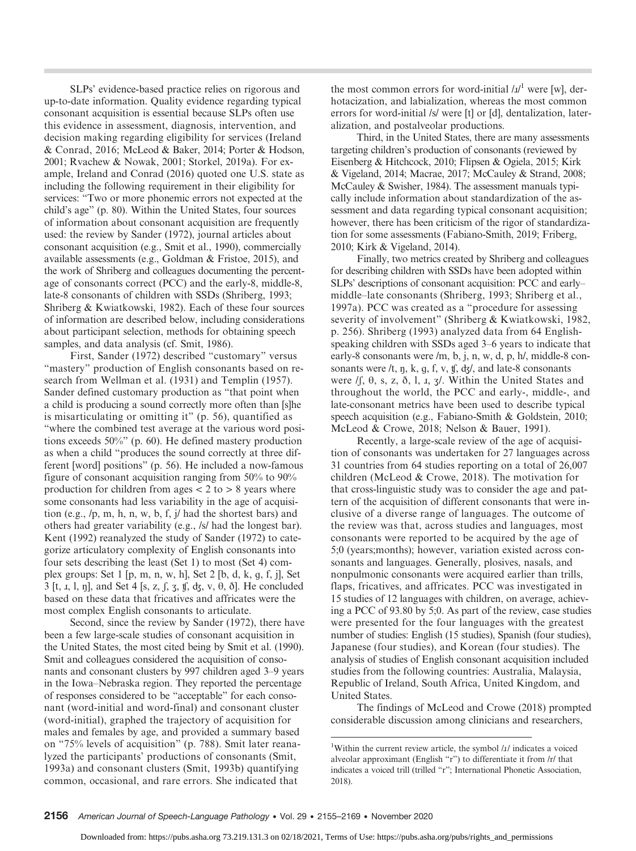SLPs' evidence-based practice relies on rigorous and up-to-date information. Quality evidence regarding typical consonant acquisition is essential because SLPs often use this evidence in assessment, diagnosis, intervention, and decision making regarding eligibility for services (Ireland & Conrad, 2016; McLeod & Baker, 2014; Porter & Hodson, 2001; Rvachew & Nowak, 2001; Storkel, 2019a). For example, Ireland and Conrad (2016) quoted one U.S. state as including the following requirement in their eligibility for services: "Two or more phonemic errors not expected at the child's age" (p. 80). Within the United States, four sources of information about consonant acquisition are frequently used: the review by Sander (1972), journal articles about consonant acquisition (e.g., Smit et al., 1990), commercially available assessments (e.g., Goldman & Fristoe, 2015), and the work of Shriberg and colleagues documenting the percentage of consonants correct (PCC) and the early-8, middle-8, late-8 consonants of children with SSDs (Shriberg, 1993; Shriberg & Kwiatkowski, 1982). Each of these four sources of information are described below, including considerations about participant selection, methods for obtaining speech samples, and data analysis (cf. Smit, 1986).

First, Sander (1972) described "customary" versus "mastery" production of English consonants based on research from Wellman et al. (1931) and Templin (1957). Sander defined customary production as "that point when a child is producing a sound correctly more often than [s]he is misarticulating or omitting it" (p. 56), quantified as "where the combined test average at the various word positions exceeds 50%" (p. 60). He defined mastery production as when a child "produces the sound correctly at three different [word] positions" (p. 56). He included a now-famous figure of consonant acquisition ranging from 50% to 90% production for children from ages  $<$  2 to  $>$  8 years where some consonants had less variability in the age of acquisition (e.g., /p, m, h, n, w, b, f, j/ had the shortest bars) and others had greater variability (e.g., /s/ had the longest bar). Kent (1992) reanalyzed the study of Sander (1972) to categorize articulatory complexity of English consonants into four sets describing the least (Set 1) to most (Set 4) complex groups: Set 1 [p, m, n, w, h], Set 2 [b, d, k, ɡ, f, j], Set 3 [t,  $\mu$ , 1,  $\eta$ ], and Set 4 [s, z, f, z, tf, dz, v,  $\theta$ ,  $\delta$ ]. He concluded based on these data that fricatives and affricates were the most complex English consonants to articulate.

Second, since the review by Sander (1972), there have been a few large-scale studies of consonant acquisition in the United States, the most cited being by Smit et al. (1990). Smit and colleagues considered the acquisition of consonants and consonant clusters by 997 children aged 3–9 years in the Iowa–Nebraska region. They reported the percentage of responses considered to be "acceptable" for each consonant (word-initial and word-final) and consonant cluster (word-initial), graphed the trajectory of acquisition for males and females by age, and provided a summary based on "75% levels of acquisition" (p. 788). Smit later reanalyzed the participants' productions of consonants (Smit, 1993a) and consonant clusters (Smit, 1993b) quantifying common, occasional, and rare errors. She indicated that

the most common errors for word-initial  $/J^1$  were [w], derhotacization, and labialization, whereas the most common errors for word-initial /s/ were [t] or [d], dentalization, lateralization, and postalveolar productions.

Third, in the United States, there are many assessments targeting children's production of consonants (reviewed by Eisenberg & Hitchcock, 2010; Flipsen & Ogiela, 2015; Kirk & Vigeland, 2014; Macrae, 2017; McCauley & Strand, 2008; McCauley & Swisher, 1984). The assessment manuals typically include information about standardization of the assessment and data regarding typical consonant acquisition; however, there has been criticism of the rigor of standardization for some assessments (Fabiano-Smith, 2019; Friberg, 2010; Kirk & Vigeland, 2014).

Finally, two metrics created by Shriberg and colleagues for describing children with SSDs have been adopted within SLPs' descriptions of consonant acquisition: PCC and early– middle–late consonants (Shriberg, 1993; Shriberg et al., 1997a). PCC was created as a "procedure for assessing severity of involvement" (Shriberg & Kwiatkowski, 1982, p. 256). Shriberg (1993) analyzed data from 64 Englishspeaking children with SSDs aged 3–6 years to indicate that early-8 consonants were /m, b, j, n, w, d, p, h/, middle-8 consonants were  $/t$ ,  $\eta$ ,  $k$ ,  $\eta$ ,  $f$ ,  $v$ ,  $f$ ,  $dz/$ , and late-8 consonants were /ʃ, θ, s, z, ð, l, ɹ, ʒ/. Within the United States and throughout the world, the PCC and early-, middle-, and late-consonant metrics have been used to describe typical speech acquisition (e.g., Fabiano-Smith & Goldstein, 2010; McLeod & Crowe, 2018; Nelson & Bauer, 1991).

Recently, a large-scale review of the age of acquisition of consonants was undertaken for 27 languages across 31 countries from 64 studies reporting on a total of 26,007 children (McLeod & Crowe, 2018). The motivation for that cross-linguistic study was to consider the age and pattern of the acquisition of different consonants that were inclusive of a diverse range of languages. The outcome of the review was that, across studies and languages, most consonants were reported to be acquired by the age of 5;0 (years;months); however, variation existed across consonants and languages. Generally, plosives, nasals, and nonpulmonic consonants were acquired earlier than trills, flaps, fricatives, and affricates. PCC was investigated in 15 studies of 12 languages with children, on average, achieving a PCC of 93.80 by 5;0. As part of the review, case studies were presented for the four languages with the greatest number of studies: English (15 studies), Spanish (four studies), Japanese (four studies), and Korean (four studies). The analysis of studies of English consonant acquisition included studies from the following countries: Australia, Malaysia, Republic of Ireland, South Africa, United Kingdom, and United States.

The findings of McLeod and Crowe (2018) prompted considerable discussion among clinicians and researchers,

<sup>&</sup>lt;sup>1</sup>Within the current review article, the symbol /1/ indicates a voiced alveolar approximant (English "r") to differentiate it from /r/ that indicates a voiced trill (trilled "r"; International Phonetic Association, 2018).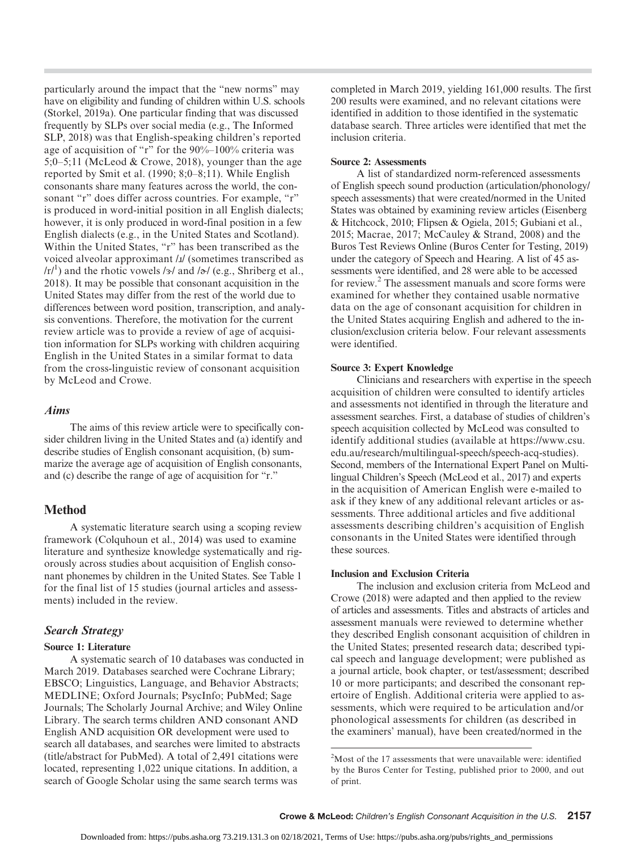particularly around the impact that the "new norms" may have on eligibility and funding of children within U.S. schools (Storkel, 2019a). One particular finding that was discussed frequently by SLPs over social media (e.g., The Informed SLP, 2018) was that English-speaking children's reported age of acquisition of "r" for the 90%–100% criteria was 5;0–5;11 (McLeod & Crowe, 2018), younger than the age reported by Smit et al. (1990; 8;0–8;11). While English consonants share many features across the world, the consonant "r" does differ across countries. For example, "r" is produced in word-initial position in all English dialects; however, it is only produced in word-final position in a few English dialects (e.g., in the United States and Scotland). Within the United States, "r" has been transcribed as the voiced alveolar approximant / $I$ / (sometimes transcribed as  $\ln\left(\frac{1}{r}\right)$  and the rhotic vowels / $\frac{1}{2}$  and / $\frac{1}{2}$  (e.g., Shriberg et al., 2018). It may be possible that consonant acquisition in the United States may differ from the rest of the world due to differences between word position, transcription, and analysis conventions. Therefore, the motivation for the current review article was to provide a review of age of acquisition information for SLPs working with children acquiring English in the United States in a similar format to data from the cross-linguistic review of consonant acquisition by McLeod and Crowe.

#### Aims

The aims of this review article were to specifically consider children living in the United States and (a) identify and describe studies of English consonant acquisition, (b) summarize the average age of acquisition of English consonants, and (c) describe the range of age of acquisition for "r."

# Method

A systematic literature search using a scoping review framework (Colquhoun et al., 2014) was used to examine literature and synthesize knowledge systematically and rigorously across studies about acquisition of English consonant phonemes by children in the United States. See Table 1 for the final list of 15 studies (journal articles and assessments) included in the review.

# Search Strategy

#### Source 1: Literature

A systematic search of 10 databases was conducted in March 2019. Databases searched were Cochrane Library; EBSCO; Linguistics, Language, and Behavior Abstracts; MEDLINE; Oxford Journals; PsycInfo; PubMed; Sage Journals; The Scholarly Journal Archive; and Wiley Online Library. The search terms children AND consonant AND English AND acquisition OR development were used to search all databases, and searches were limited to abstracts (title/abstract for PubMed). A total of 2,491 citations were located, representing 1,022 unique citations. In addition, a search of Google Scholar using the same search terms was

completed in March 2019, yielding 161,000 results. The first 200 results were examined, and no relevant citations were identified in addition to those identified in the systematic database search. Three articles were identified that met the inclusion criteria.

#### Source 2: Assessments

A list of standardized norm-referenced assessments of English speech sound production (articulation/phonology/ speech assessments) that were created/normed in the United States was obtained by examining review articles (Eisenberg & Hitchcock, 2010; Flipsen & Ogiela, 2015; Gubiani et al., 2015; Macrae, 2017; McCauley & Strand, 2008) and the Buros Test Reviews Online (Buros Center for Testing, 2019) under the category of Speech and Hearing. A list of 45 assessments were identified, and 28 were able to be accessed for review.<sup>2</sup> The assessment manuals and score forms were examined for whether they contained usable normative data on the age of consonant acquisition for children in the United States acquiring English and adhered to the inclusion/exclusion criteria below. Four relevant assessments were identified.

#### Source 3: Expert Knowledge

Clinicians and researchers with expertise in the speech acquisition of children were consulted to identify articles and assessments not identified in through the literature and assessment searches. First, a database of studies of children's speech acquisition collected by McLeod was consulted to identify additional studies (available at [https://www.csu.](http://creativecommons.org/licenses/by-nc-nd/4.0/) [edu.au/research/multilingual-speech/speech-acq-studies](http://creativecommons.org/licenses/by-nc-nd/4.0/)). Second, members of the International Expert Panel on Multilingual Children's Speech (McLeod et al., 2017) and experts in the acquisition of American English were e-mailed to ask if they knew of any additional relevant articles or assessments. Three additional articles and five additional assessments describing children's acquisition of English consonants in the United States were identified through these sources.

#### Inclusion and Exclusion Criteria

The inclusion and exclusion criteria from McLeod and Crowe (2018) were adapted and then applied to the review of articles and assessments. Titles and abstracts of articles and assessment manuals were reviewed to determine whether they described English consonant acquisition of children in the United States; presented research data; described typical speech and language development; were published as a journal article, book chapter, or test/assessment; described 10 or more participants; and described the consonant repertoire of English. Additional criteria were applied to assessments, which were required to be articulation and/or phonological assessments for children (as described in the examiners' manual), have been created/normed in the

<sup>&</sup>lt;sup>2</sup>Most of the 17 assessments that were unavailable were: identified by the Buros Center for Testing, published prior to 2000, and out of print.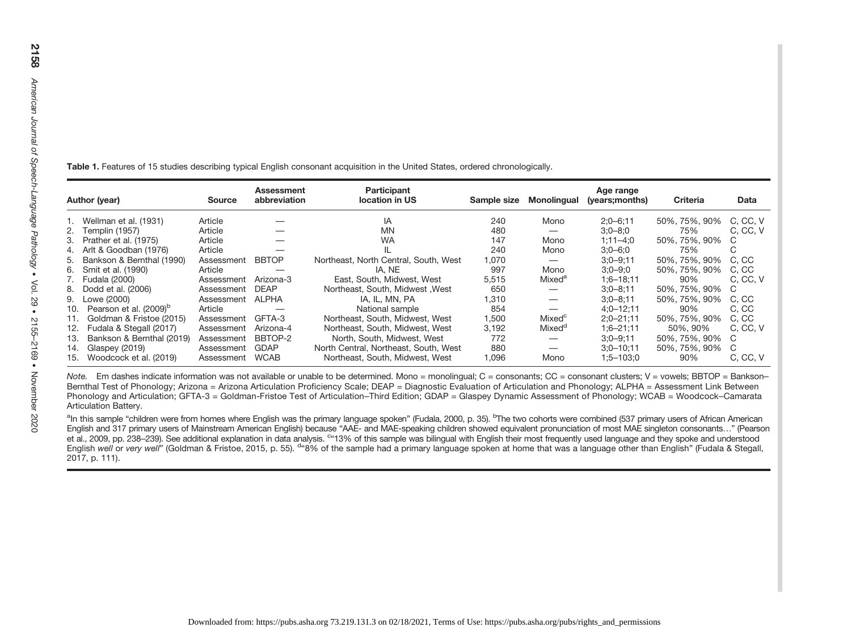| Table 1. Features of 15 studies describing typical English consonant acquisition in the United States, ordered chronologically. |  |  |  |  |  |  |  |  |  |
|---------------------------------------------------------------------------------------------------------------------------------|--|--|--|--|--|--|--|--|--|
|---------------------------------------------------------------------------------------------------------------------------------|--|--|--|--|--|--|--|--|--|

|     | Author (year)                      | <b>Source</b> | Assessment<br>abbreviation | Participant<br>location in US         | Sample size | <b>Monolingual</b> | Age range<br>(years; months) | Criteria      | Data     |
|-----|------------------------------------|---------------|----------------------------|---------------------------------------|-------------|--------------------|------------------------------|---------------|----------|
|     | 1. Wellman et al. (1931)           | Article       |                            | IA                                    | 240         | Mono               | $2:0 - 6:11$                 | 50%, 75%, 90% | C. CC. V |
|     | 2. Templin (1957)                  | Article       |                            | <b>MN</b>                             | 480         |                    | $3:0 - 8:0$                  | 75%           | C, CC, V |
|     | 3. Prather et al. (1975)           | Article       |                            | <b>WA</b>                             | 147         | Mono               | $1:11 - 4:0$                 | 50%. 75%. 90% | C.       |
|     | 4. Arlt & Goodban (1976)           | Article       |                            |                                       | 240         | Mono               | $3:0 - 6:0$                  | 75%           | C.       |
|     | 5. Bankson & Bernthal (1990)       | Assessment    | <b>BBTOP</b>               | Northeast, North Central, South, West | 1,070       |                    | $3:0 - 9:11$                 | 50%, 75%, 90% | C. CC    |
|     | 6. Smit et al. (1990)              | Article       |                            | IA. NE                                | 997         | Mono               | $3:0 - 9:0$                  | 50%, 75%, 90% | C, CC    |
|     | 7. Fudala (2000)                   | Assessment    | Arizona-3                  | East, South, Midwest, West            | 5,515       | Mixed <sup>a</sup> | $1:6 - 18:11$                | 90%           | C. CC. V |
|     | 8. Dodd et al. (2006)              | Assessment    | <b>DEAP</b>                | Northeast, South, Midwest, West       | 650         |                    | $3:0 - 8:11$                 | 50%, 75%, 90% | C.       |
| 9.  | Lowe (2000)                        | Assessment    | <b>ALPHA</b>               | IA. IL. MN. PA                        | 1.310       |                    | $3:0 - 8:11$                 | 50%, 75%, 90% | C. CC    |
| 10. | Pearson et al. (2009) <sup>b</sup> | Article       |                            | National sample                       | 854         |                    | $4:0 - 12:11$                | 90%           | C.CC     |
| 11. | Goldman & Fristoe (2015)           | Assessment    | GFTA-3                     | Northeast, South, Midwest, West       | 1.500       | Mixed <sup>c</sup> | $2:0 - 21:11$                | 50%, 75%, 90% | C, CC    |
| 12. | Fudala & Stegall (2017)            | Assessment    | Arizona-4                  | Northeast, South, Midwest, West       | 3,192       | Mixed <sup>d</sup> | $1:6 - 21:11$                | 50%, 90%      | C, CC, V |
| 13. | Bankson & Bernthal (2019)          | Assessment    | BBTOP-2                    | North, South, Midwest, West           | 772         |                    | $3:0 - 9:11$                 | 50%, 75%, 90% | C        |
| 14. | Glaspey (2019)                     | Assessment    | <b>GDAP</b>                | North Central, Northeast, South, West | 880         |                    | $3:0 - 10:11$                | 50%, 75%, 90% | C        |
| 15. | Woodcock et al. (2019)             | Assessment    | <b>WCAB</b>                | Northeast, South, Midwest, West       | 1.096       | Mono               | $1:5 - 103:0$                | 90%           | C. CC. V |

Note. Em dashes indicate information was not available or unable to be determined. Mono = monolingual; C = consonants; CC = consonant clusters; V = vowels; BBTOP = Bankson– Bernthal Test of Phonology; Arizona = Arizona Articulation Proficiency Scale; DEAP = Diagnostic Evaluation of Articulation and Phonology; ALPHA = Assessment Link Between Phonology and Articulation; GFTA-3 <sup>=</sup> Goldman-Fristoe Test of Articulation–Third Edition; GDAP <sup>=</sup> Glaspey Dynamic Assessment of Phonology; WCAB <sup>=</sup> Woodcock–Camarata Articulation Battery.

<sup>a</sup>In this sample "children were from homes where English was the primary language spoken" (Fudala, 2000, p. 35). <sup>b</sup>The two cohorts were combined (537 primary users of African American English and 317 primary users of Mainstream American English) because "AAE- and MAE-speaking children showed equivalent pronunciation of most MAE singleton consonants…" (Pearson et al., 2009, pp. 238–239). See additional explanation in data analysis. <sup>c</sup>"13% of this sample was bilingual with English their most frequently used language and they spoke and understood<br>English *well or very well*" (Gol 2017, p. 111).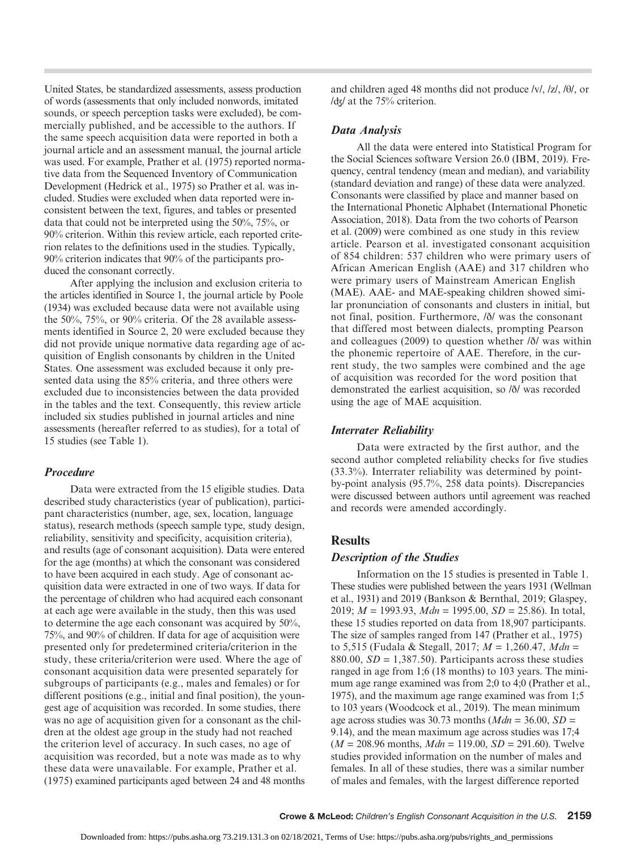United States, be standardized assessments, assess production of words (assessments that only included nonwords, imitated sounds, or speech perception tasks were excluded), be commercially published, and be accessible to the authors. If the same speech acquisition data were reported in both a journal article and an assessment manual, the journal article was used. For example, Prather et al. (1975) reported normative data from the Sequenced Inventory of Communication Development (Hedrick et al., 1975) so Prather et al. was included. Studies were excluded when data reported were inconsistent between the text, figures, and tables or presented data that could not be interpreted using the 50%, 75%, or 90% criterion. Within this review article, each reported criterion relates to the definitions used in the studies. Typically, 90% criterion indicates that 90% of the participants produced the consonant correctly.

After applying the inclusion and exclusion criteria to the articles identified in Source 1, the journal article by Poole (1934) was excluded because data were not available using the 50%, 75%, or 90% criteria. Of the 28 available assessments identified in Source 2, 20 were excluded because they did not provide unique normative data regarding age of acquisition of English consonants by children in the United States. One assessment was excluded because it only presented data using the 85% criteria, and three others were excluded due to inconsistencies between the data provided in the tables and the text. Consequently, this review article included six studies published in journal articles and nine assessments (hereafter referred to as studies), for a total of 15 studies (see Table 1).

#### Procedure

Data were extracted from the 15 eligible studies. Data described study characteristics (year of publication), participant characteristics (number, age, sex, location, language status), research methods (speech sample type, study design, reliability, sensitivity and specificity, acquisition criteria), and results (age of consonant acquisition). Data were entered for the age (months) at which the consonant was considered to have been acquired in each study. Age of consonant acquisition data were extracted in one of two ways. If data for the percentage of children who had acquired each consonant at each age were available in the study, then this was used to determine the age each consonant was acquired by 50%, 75%, and 90% of children. If data for age of acquisition were presented only for predetermined criteria/criterion in the study, these criteria/criterion were used. Where the age of consonant acquisition data were presented separately for subgroups of participants (e.g., males and females) or for different positions (e.g., initial and final position), the youngest age of acquisition was recorded. In some studies, there was no age of acquisition given for a consonant as the children at the oldest age group in the study had not reached the criterion level of accuracy. In such cases, no age of acquisition was recorded, but a note was made as to why these data were unavailable. For example, Prather et al. (1975) examined participants aged between 24 and 48 months and children aged 48 months did not produce /v/, /z/, /θ/, or /ʤ/ at the 75% criterion.

# Data Analysis

All the data were entered into Statistical Program for the Social Sciences software Version 26.0 (IBM, 2019). Frequency, central tendency (mean and median), and variability (standard deviation and range) of these data were analyzed. Consonants were classified by place and manner based on the International Phonetic Alphabet (International Phonetic Association, 2018). Data from the two cohorts of Pearson et al. (2009) were combined as one study in this review article. Pearson et al. investigated consonant acquisition of 854 children: 537 children who were primary users of African American English (AAE) and 317 children who were primary users of Mainstream American English (MAE). AAE- and MAE-speaking children showed similar pronunciation of consonants and clusters in initial, but not final, position. Furthermore, /ð/ was the consonant that differed most between dialects, prompting Pearson and colleagues (2009) to question whether /ð/ was within the phonemic repertoire of AAE. Therefore, in the current study, the two samples were combined and the age of acquisition was recorded for the word position that demonstrated the earliest acquisition, so /ð/ was recorded using the age of MAE acquisition.

#### Interrater Reliability

Data were extracted by the first author, and the second author completed reliability checks for five studies (33.3%). Interrater reliability was determined by pointby-point analysis (95.7%, 258 data points). Discrepancies were discussed between authors until agreement was reached and records were amended accordingly.

# Results

#### Description of the Studies

Information on the 15 studies is presented in Table 1. These studies were published between the years 1931 (Wellman et al., 1931) and 2019 (Bankson & Bernthal, 2019; Glaspey, 2019;  $M = 1993.93$ ,  $Mdn = 1995.00$ ,  $SD = 25.86$ ). In total, these 15 studies reported on data from 18,907 participants. The size of samples ranged from 147 (Prather et al., 1975) to 5,515 (Fudala & Stegall, 2017;  $M = 1,260.47$ ,  $Mdn =$ 880.00,  $SD = 1,387.50$ . Participants across these studies ranged in age from 1;6 (18 months) to 103 years. The minimum age range examined was from 2;0 to 4;0 (Prather et al., 1975), and the maximum age range examined was from 1;5 to 103 years (Woodcock et al., 2019). The mean minimum age across studies was 30.73 months ( $Mdn = 36.00$ ,  $SD =$ 9.14), and the mean maximum age across studies was 17;4  $(M = 208.96 \text{ months}, Mdn = 119.00, SD = 291.60)$ . Twelve studies provided information on the number of males and females. In all of these studies, there was a similar number of males and females, with the largest difference reported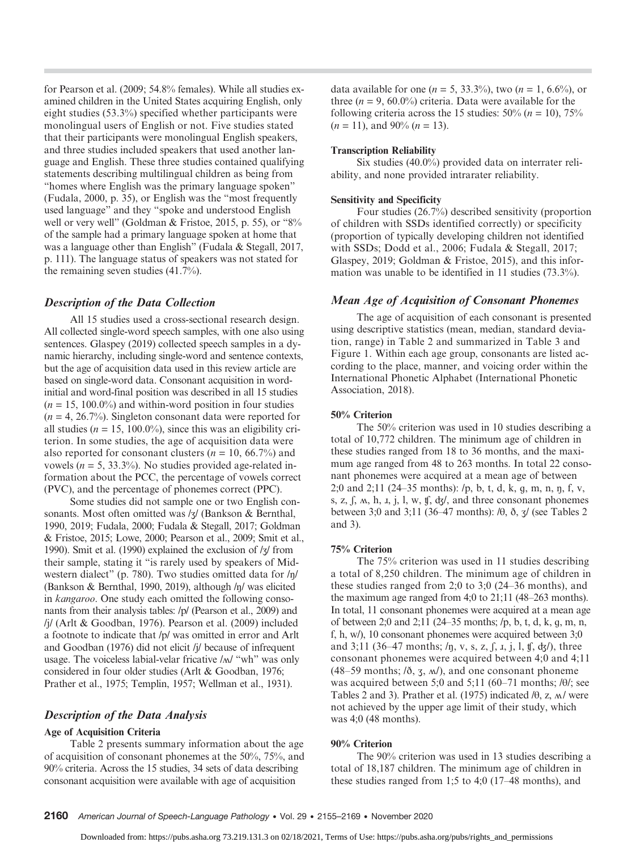for Pearson et al. (2009; 54.8% females). While all studies examined children in the United States acquiring English, only eight studies (53.3%) specified whether participants were monolingual users of English or not. Five studies stated that their participants were monolingual English speakers, and three studies included speakers that used another language and English. These three studies contained qualifying statements describing multilingual children as being from "homes where English was the primary language spoken" (Fudala, 2000, p. 35), or English was the "most frequently used language" and they "spoke and understood English well or very well" (Goldman & Fristoe, 2015, p. 55), or "8% of the sample had a primary language spoken at home that was a language other than English" (Fudala & Stegall, 2017, p. 111). The language status of speakers was not stated for the remaining seven studies (41.7%).

#### Description of the Data Collection

All 15 studies used a cross-sectional research design. All collected single-word speech samples, with one also using sentences. Glaspey (2019) collected speech samples in a dynamic hierarchy, including single-word and sentence contexts, but the age of acquisition data used in this review article are based on single-word data. Consonant acquisition in wordinitial and word-final position was described in all 15 studies  $(n = 15, 100.0\%)$  and within-word position in four studies  $(n = 4, 26.7\%)$ . Singleton consonant data were reported for all studies ( $n = 15$ , 100.0%), since this was an eligibility criterion. In some studies, the age of acquisition data were also reported for consonant clusters ( $n = 10, 66.7\%$ ) and vowels ( $n = 5$ , 33.3%). No studies provided age-related information about the PCC, the percentage of vowels correct (PVC), and the percentage of phonemes correct (PPC).

Some studies did not sample one or two English consonants. Most often omitted was /ʒ/ (Bankson & Bernthal, 1990, 2019; Fudala, 2000; Fudala & Stegall, 2017; Goldman & Fristoe, 2015; Lowe, 2000; Pearson et al., 2009; Smit et al., 1990). Smit et al. (1990) explained the exclusion of /ʒ/ from their sample, stating it "is rarely used by speakers of Midwestern dialect" (p. 780). Two studies omitted data for /ŋ/ (Bankson & Bernthal, 1990, 2019), although /ŋ/ was elicited in kangaroo. One study each omitted the following consonants from their analysis tables: /p/ (Pearson et al., 2009) and /j/ (Arlt & Goodban, 1976). Pearson et al. (2009) included a footnote to indicate that /p/ was omitted in error and Arlt and Goodban (1976) did not elicit /j/ because of infrequent usage. The voiceless labial-velar fricative /m/ "wh" was only considered in four older studies (Arlt & Goodban, 1976; Prather et al., 1975; Templin, 1957; Wellman et al., 1931).

# Description of the Data Analysis

#### Age of Acquisition Criteria

Table 2 presents summary information about the age of acquisition of consonant phonemes at the 50%, 75%, and 90% criteria. Across the 15 studies, 34 sets of data describing consonant acquisition were available with age of acquisition

data available for one ( $n = 5$ , 33.3%), two ( $n = 1$ , 6.6%), or three ( $n = 9, 60.0\%$ ) criteria. Data were available for the following criteria across the 15 studies:  $50\% (n = 10)$ ,  $75\%$  $(n = 11)$ , and 90%  $(n = 13)$ .

#### Transcription Reliability

Six studies (40.0%) provided data on interrater reliability, and none provided intrarater reliability.

#### Sensitivity and Specificity

Four studies (26.7%) described sensitivity (proportion of children with SSDs identified correctly) or specificity (proportion of typically developing children not identified with SSDs; Dodd et al., 2006; Fudala & Stegall, 2017; Glaspey, 2019; Goldman & Fristoe, 2015), and this information was unable to be identified in 11 studies (73.3%).

## Mean Age of Acquisition of Consonant Phonemes

The age of acquisition of each consonant is presented using descriptive statistics (mean, median, standard deviation, range) in Table 2 and summarized in Table 3 and Figure 1. Within each age group, consonants are listed according to the place, manner, and voicing order within the International Phonetic Alphabet (International Phonetic Association, 2018).

#### 50% Criterion

The 50% criterion was used in 10 studies describing a total of 10,772 children. The minimum age of children in these studies ranged from 18 to 36 months, and the maximum age ranged from 48 to 263 months. In total 22 consonant phonemes were acquired at a mean age of between 2;0 and 2;11 (24–35 months): /p, b, t, d, k, ɡ, m, n, ŋ, f, v, s, z,  $\int$ ,  $\mu$ ,  $\mu$ ,  $\mu$ ,  $\mu$ ,  $\mu$ ,  $\mu$ ,  $\mu$ ,  $\frac{d}{d\mu}$ , and three consonant phonemes between 3;0 and 3;11 (36–47 months): /θ, ð, ʒ/ (see Tables 2 and 3).

#### 75% Criterion

The 75% criterion was used in 11 studies describing a total of 8,250 children. The minimum age of children in these studies ranged from 2;0 to 3;0 (24–36 months), and the maximum age ranged from 4;0 to 21;11 (48–263 months). In total, 11 consonant phonemes were acquired at a mean age of between 2;0 and 2;11 (24–35 months; /p, b, t, d, k, ɡ, m, n, f, h, w/), 10 consonant phonemes were acquired between 3;0 and 3;11 (36–47 months;  $/n$ , v, s, z, f, i, i, l, tf,  $dx/$ ), three consonant phonemes were acquired between 4;0 and 4;11  $(48–59$  months;  $/0$ ,  $\overline{3}$ ,  $\overline{M}$ , and one consonant phoneme was acquired between 5;0 and 5;11 (60–71 months;  $/ \theta$ ); see Tables 2 and 3). Prather et al. (1975) indicated /θ, z, ʍ/ were not achieved by the upper age limit of their study, which was 4;0 (48 months).

## 90% Criterion

The 90% criterion was used in 13 studies describing a total of 18,187 children. The minimum age of children in these studies ranged from 1;5 to 4;0 (17–48 months), and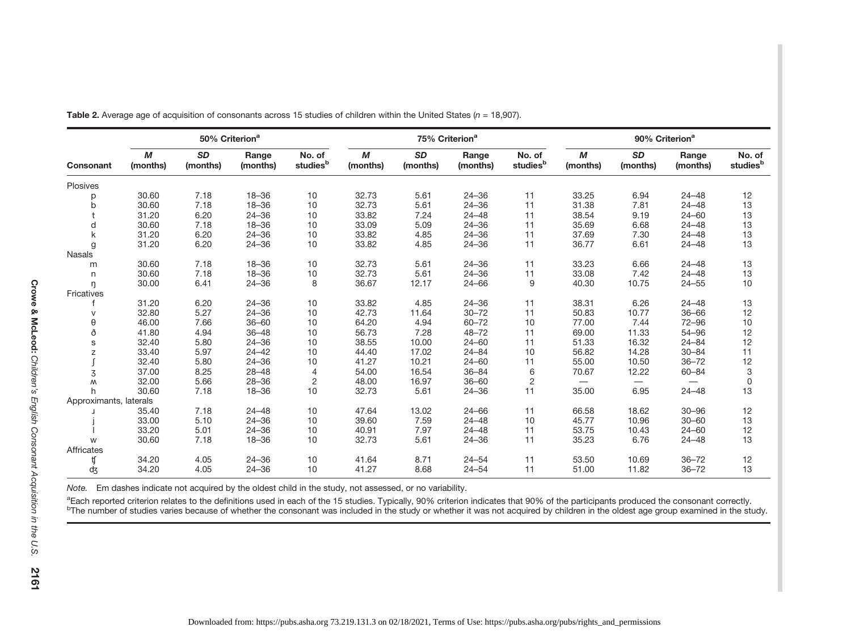|                        |               | 50% Criterion <sup>a</sup> |                   |                                | 75% Criterion <sup>a</sup> |                       |                   |                                | 90% Criterion <sup>a</sup> |                       |                   |                                |
|------------------------|---------------|----------------------------|-------------------|--------------------------------|----------------------------|-----------------------|-------------------|--------------------------------|----------------------------|-----------------------|-------------------|--------------------------------|
| Consonant              | M<br>(months) | <b>SD</b><br>(months)      | Range<br>(months) | No. of<br>studies <sup>b</sup> | M<br>(months)              | <b>SD</b><br>(months) | Range<br>(months) | No. of<br>studies <sup>b</sup> | M<br>(months)              | <b>SD</b><br>(months) | Range<br>(months) | No. of<br>studies <sup>b</sup> |
| Plosives               |               |                            |                   |                                |                            |                       |                   |                                |                            |                       |                   |                                |
| р                      | 30.60         | 7.18                       | $18 - 36$         | 10                             | 32.73                      | 5.61                  | $24 - 36$         | 11                             | 33.25                      | 6.94                  | $24 - 48$         | 12                             |
| b                      | 30.60         | 7.18                       | $18 - 36$         | 10                             | 32.73                      | 5.61                  | $24 - 36$         | 11                             | 31.38                      | 7.81                  | $24 - 48$         | 13                             |
|                        | 31.20         | 6.20                       | $24 - 36$         | 10                             | 33.82                      | 7.24                  | $24 - 48$         | 11                             | 38.54                      | 9.19                  | $24 - 60$         | 13                             |
| d                      | 30.60         | 7.18                       | $18 - 36$         | 10                             | 33.09                      | 5.09                  | $24 - 36$         | 11                             | 35.69                      | 6.68                  | $24 - 48$         | 13                             |
| k                      | 31.20         | 6.20                       | $24 - 36$         | 10                             | 33.82                      | 4.85                  | $24 - 36$         | 11                             | 37.69                      | 7.30                  | $24 - 48$         | 13                             |
| g                      | 31.20         | 6.20                       | $24 - 36$         | 10                             | 33.82                      | 4.85                  | $24 - 36$         | 11                             | 36.77                      | 6.61                  | $24 - 48$         | 13                             |
| <b>Nasals</b>          |               |                            |                   |                                |                            |                       |                   |                                |                            |                       |                   |                                |
| m                      | 30.60         | 7.18                       | $18 - 36$         | 10                             | 32.73                      | 5.61                  | $24 - 36$         | 11                             | 33.23                      | 6.66                  | $24 - 48$         | 13                             |
| n                      | 30.60         | 7.18                       | $18 - 36$         | 10                             | 32.73                      | 5.61                  | $24 - 36$         | 11                             | 33.08                      | 7.42                  | $24 - 48$         | 13                             |
| η                      | 30.00         | 6.41                       | $24 - 36$         | 8                              | 36.67                      | 12.17                 | $24 - 66$         | 9                              | 40.30                      | 10.75                 | $24 - 55$         | $10$                           |
| Fricatives             |               |                            |                   |                                |                            |                       |                   |                                |                            |                       |                   |                                |
|                        | 31.20         | 6.20                       | $24 - 36$         | 10                             | 33.82                      | 4.85                  | $24 - 36$         | 11                             | 38.31                      | 6.26                  | $24 - 48$         | 13                             |
| $\vee$                 | 32.80         | 5.27                       | $24 - 36$         | 10                             | 42.73                      | 11.64                 | $30 - 72$         | 11                             | 50.83                      | 10.77                 | $36 - 66$         | 12                             |
| $\theta$               | 46.00         | 7.66                       | $36 - 60$         | 10                             | 64.20                      | 4.94                  | $60 - 72$         | 10                             | 77.00                      | 7.44                  | $72 - 96$         | 10                             |
| ð                      | 41.80         | 4.94                       | $36 - 48$         | 10                             | 56.73                      | 7.28                  | $48 - 72$         | 11                             | 69.00                      | 11.33                 | $54 - 96$         | 12                             |
| S                      | 32.40         | 5.80                       | $24 - 36$         | 10                             | 38.55                      | 10.00                 | $24 - 60$         | 11                             | 51.33                      | 16.32                 | $24 - 84$         | 12                             |
| Z                      | 33.40         | 5.97                       | $24 - 42$         | 10                             | 44.40                      | 17.02                 | $24 - 84$         | 10                             | 56.82                      | 14.28                 | $30 - 84$         | 11                             |
|                        | 32.40         | 5.80                       | $24 - 36$         | 10                             | 41.27                      | 10.21                 | $24 - 60$         | 11                             | 55.00                      | 10.50                 | $36 - 72$         | 12                             |
| 3                      | 37.00         | 8.25                       | $28 - 48$         | $\overline{4}$                 | 54.00                      | 16.54                 | $36 - 84$         | 6                              | 70.67                      | 12.22                 | $60 - 84$         | 3                              |
| $\mathcal{M}$          | 32.00         | 5.66                       | $28 - 36$         | $\overline{c}$                 | 48.00                      | 16.97                 | $36 - 60$         | $\overline{c}$                 |                            | —                     | —                 | 0                              |
| h                      | 30.60         | 7.18                       | $18 - 36$         | 10                             | 32.73                      | 5.61                  | $24 - 36$         | 11                             | 35.00                      | 6.95                  | $24 - 48$         | 13                             |
| Approximants, laterals |               |                            |                   |                                |                            |                       |                   |                                |                            |                       |                   |                                |
|                        | 35.40         | 7.18                       | $24 - 48$         | 10                             | 47.64                      | 13.02                 | $24 - 66$         | 11                             | 66.58                      | 18.62                 | $30 - 96$         | 12                             |
|                        | 33.00         | 5.10                       | $24 - 36$         | 10                             | 39.60                      | 7.59                  | $24 - 48$         | 10                             | 45.77                      | 10.96                 | $30 - 60$         | 13                             |
|                        | 33.20         | 5.01                       | $24 - 36$         | 10                             | 40.91                      | 7.97                  | $24 - 48$         | 11                             | 53.75                      | 10.43                 | $24 - 60$         | 12                             |
| W                      | 30.60         | 7.18                       | $18 - 36$         | 10                             | 32.73                      | 5.61                  | $24 - 36$         | 11                             | 35.23                      | 6.76                  | $24 - 48$         | 13                             |
| Affricates             |               |                            |                   |                                |                            |                       |                   |                                |                            |                       |                   |                                |
|                        | 34.20         | 4.05                       | $24 - 36$         | 10                             | 41.64                      | 8.71                  | $24 - 54$         | 11                             | 53.50                      | 10.69                 | $36 - 72$         | 12                             |
| ďӡ                     | 34.20         | 4.05                       | $24 - 36$         | 10                             | 41.27                      | 8.68                  | $24 - 54$         | 11                             | 51.00                      | 11.82                 | $36 - 72$         | 13                             |

**Table 2.** Average age of acquisition of consonants across 15 studies of children within the United States (n = 18,907).

Note. Em dashes indicate not acquired by the oldest child in the study, not assessed, or no variability.

<sup>a</sup>Each reported criterion relates to the definitions used in each of the 15 studies. Typically, 90% criterion indicates that 90% of the participants produced the consonant correctly.<br><sup>b</sup>The number of studies varies becaus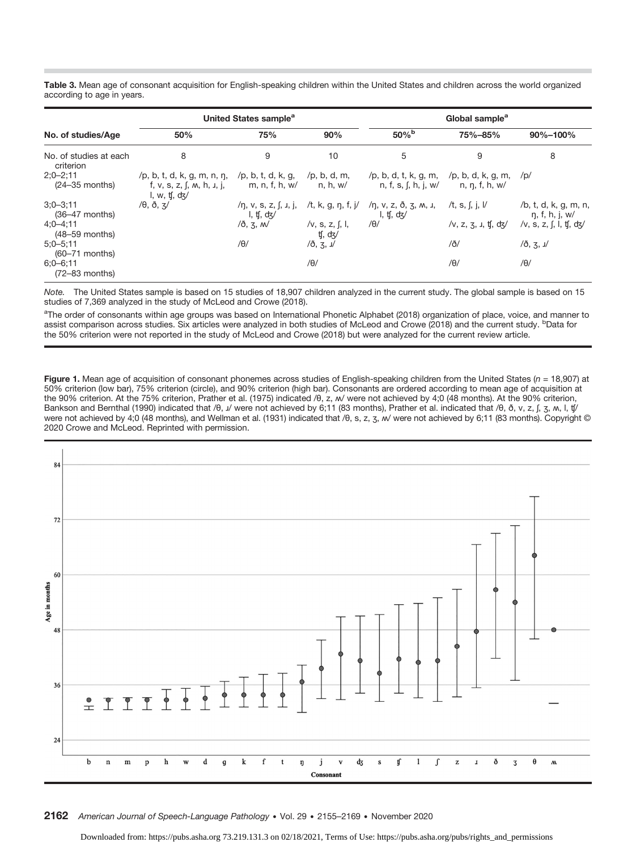Table 3. Mean age of consonant acquisition for English-speaking children within the United States and children across the world organized according to age in years.

|                                     |                                                                                                                                                                              | United States sample <sup>a</sup>                        |                            | Global sample <sup>a</sup>                   |                     |                                         |  |
|-------------------------------------|------------------------------------------------------------------------------------------------------------------------------------------------------------------------------|----------------------------------------------------------|----------------------------|----------------------------------------------|---------------------|-----------------------------------------|--|
| No. of studies/Age                  | 50%                                                                                                                                                                          | 75%                                                      | 90%                        | $50\%$ <sup>b</sup>                          | 75%-85%             | 90%-100%                                |  |
| No. of studies at each<br>criterion | 8                                                                                                                                                                            | 9                                                        | 10                         | 5                                            | 9                   | 8                                       |  |
| $2:0 - 2:11$<br>$(24-35$ months)    | /p, b, t, d, k, g, m, n, $\eta$ , /p, b, t, d, k, g, /p, b, d, m,<br>f, v, s, z, f, w, h, j, j, m, n, f, h, w/ n, h, w/ n, f, s, f, h, j, w/ n, n, f, h, w/<br>l, w, tf, dz/ |                                                          |                            | /p, b, d, t, k, g, m, /p, b, d, k, g, m, /p/ |                     |                                         |  |
| $3:0 - 3:11$<br>$(36-47$ months)    | $/ \theta$ , $\delta$ , $\frac{z}{ }$                                                                                                                                        | /n, v, s, z, f, u, j, /t, k, g, n, f, j/<br>I, tf, $dx/$ |                            | /ŋ, v, z, ð, ʒ, <i>м</i> , ɹ,<br>l, tf, dz/  | /t, s, f, j, l/     | /b, t, d, k, g, m, n,<br>n, f, h, j, w/ |  |
| $4:0 - 4:11$<br>$(48-59$ months)    |                                                                                                                                                                              | $/$ ð, 3, $M/$                                           | /v, s, z, f, l,<br>tf, dz/ | $/\theta$                                    | /v, z, z, u, t, dz/ | /v, s, z, f, l, tf, dz/                 |  |
| $5:0 - 5:11$<br>$(60-71$ months)    |                                                                                                                                                                              | $/\theta$                                                | /0, 3, 1/                  |                                              | /ð/                 | /0, 3, 1/                               |  |
| $6:0 - 6:11$<br>$(72-83$ months)    |                                                                                                                                                                              |                                                          | $/\theta$                  |                                              | $/\theta$           | $/\theta$                               |  |

Note. The United States sample is based on 15 studies of 18,907 children analyzed in the current study. The global sample is based on 15 studies of 7,369 analyzed in the study of McLeod and Crowe (2018).

<sup>a</sup>The order of consonants within age groups was based on International Phonetic Alphabet (2018) organization of place, voice, and manner to assist comparison across studies. Six articles were analyzed in both studies of McLeod and Crowe (2018) and the current study. <sup>b</sup>Data for the 50% criterion were not reported in the study of McLeod and Crowe (2018) but were analyzed for the current review article.

Figure 1. Mean age of acquisition of consonant phonemes across studies of English-speaking children from the United States ( $n = 18,907$ ) at 50% criterion (low bar), 75% criterion (circle), and 90% criterion (high bar). Consonants are ordered according to mean age of acquisition at the 90% criterion. At the 75% criterion, Prather et al. (1975) indicated /θ, z, ʍ/ were not achieved by 4;0 (48 months). At the 90% criterion, Bankson and Bernthal (1990) indicated that /θ, *il* were not achieved by 6;11 (83 months), Prather et al. indicated that /θ, ð, ν, z, ʃ, ʒ, *Μ*, l, ʧ/ were not achieved by 4;0 (48 months), and Wellman et al. (1931) indicated that /θ, s, z, ʒ, *w*/ were not achieved by 6;11 (83 months). Copyright © 2020 Crowe and McLeod. Reprinted with permission.



2162 American Journal of Speech-Language Pathology • Vol. 29 • 2155–2169 • November 2020

Downloaded from: https://pubs.asha.org 73.219.131.3 on 02/18/2021, Terms of Use: https://pubs.asha.org/pubs/rights\_and\_permissions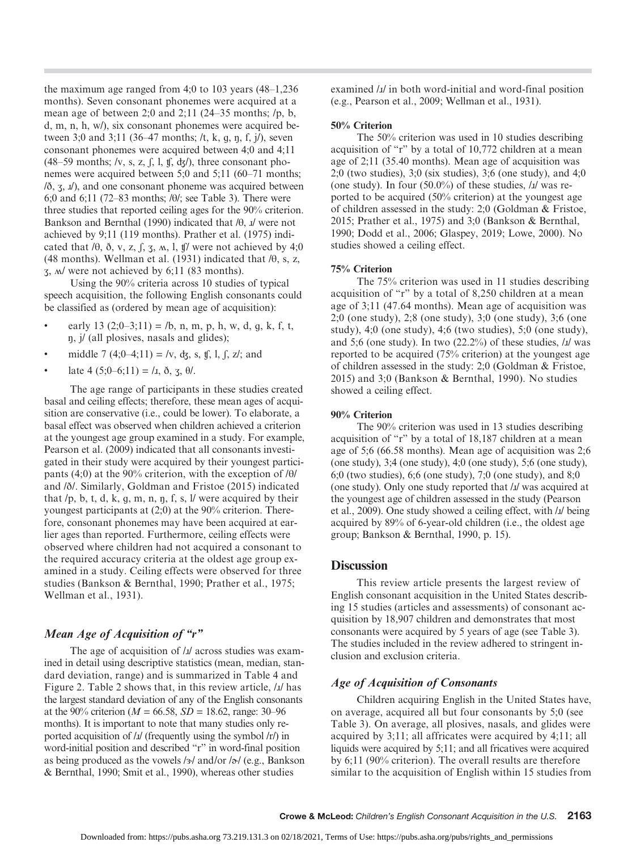the maximum age ranged from 4;0 to 103 years (48–1,236 months). Seven consonant phonemes were acquired at a mean age of between 2;0 and 2;11 (24–35 months; /p, b, d, m, n, h, w/), six consonant phonemes were acquired between 3;0 and 3;11 (36–47 months;  $/t$ , k, g, n, f, j $/t$ ), seven consonant phonemes were acquired between 4;0 and 4;11 (48–59 months;  $/v$ , s, z,  $\int$ ,  $1$ ,  $\oint$ ,  $\frac{1}{3}$ , three consonant phonemes were acquired between 5;0 and 5;11 (60–71 months; /ð, ʒ, ɹ/), and one consonant phoneme was acquired between 6;0 and 6;11 (72–83 months; /θ/; see Table 3). There were three studies that reported ceiling ages for the 90% criterion. Bankson and Bernthal (1990) indicated that /θ, ɹ/ were not achieved by 9;11 (119 months). Prather et al. (1975) indicated that  $\theta$ ,  $\delta$ , v, z,  $\int$ ,  $\zeta$ ,  $\theta$ ,  $\zeta$ ,  $\frac{1}{2}$ ,  $\frac{1}{2}$  were not achieved by 4;0 (48 months). Wellman et al. (1931) indicated that  $/ \theta$ , s, z, ʒ, ʍ/ were not achieved by 6;11 (83 months).

Using the 90% criteria across 10 studies of typical speech acquisition, the following English consonants could be classified as (ordered by mean age of acquisition):

- early 13 (2;0–3;11) = /b, n, m, p, h, w, d, g, k, f, t, ŋ, j/ (all plosives, nasals and glides);
- middle 7  $(4;0-4;11) = /v$ , dz, s, ff, l, f, z/; and
- late 4 (5;0–6;11) =  $\lambda$ ,  $\delta$ ,  $\lambda$ ,  $\theta$ .

The age range of participants in these studies created basal and ceiling effects; therefore, these mean ages of acquisition are conservative (i.e., could be lower). To elaborate, a basal effect was observed when children achieved a criterion at the youngest age group examined in a study. For example, Pearson et al. (2009) indicated that all consonants investigated in their study were acquired by their youngest participants (4;0) at the 90% criterion, with the exception of /θ/ and /ð/. Similarly, Goldman and Fristoe (2015) indicated that  $/p$ , b, t, d, k, g, m, n, n, f, s, l/ were acquired by their youngest participants at (2;0) at the 90% criterion. Therefore, consonant phonemes may have been acquired at earlier ages than reported. Furthermore, ceiling effects were observed where children had not acquired a consonant to the required accuracy criteria at the oldest age group examined in a study. Ceiling effects were observed for three studies (Bankson & Bernthal, 1990; Prather et al., 1975; Wellman et al., 1931).

# Mean Age of Acquisition of "r"

The age of acquisition of / $I$ / across studies was examined in detail using descriptive statistics (mean, median, standard deviation, range) and is summarized in Table 4 and Figure 2. Table 2 shows that, in this review article,  $\lambda$ *I* has the largest standard deviation of any of the English consonants at the 90% criterion ( $M = 66.58$ ,  $SD = 18.62$ , range: 30–96 months). It is important to note that many studies only reported acquisition of / $x$ / (frequently using the symbol /r/) in word-initial position and described "r" in word-final position as being produced as the vowels  $/3/$  and/or  $/\sqrt{6}$  (e.g., Bankson & Bernthal, 1990; Smit et al., 1990), whereas other studies

examined / $I$  in both word-initial and word-final position (e.g., Pearson et al., 2009; Wellman et al., 1931).

## 50% Criterion

The 50% criterion was used in 10 studies describing acquisition of "r" by a total of 10,772 children at a mean age of 2;11 (35.40 months). Mean age of acquisition was 2;0 (two studies), 3;0 (six studies), 3;6 (one study), and 4;0 (one study). In four (50.0%) of these studies, /ɹ/ was reported to be acquired (50% criterion) at the youngest age of children assessed in the study: 2;0 (Goldman & Fristoe, 2015; Prather et al., 1975) and 3;0 (Bankson & Bernthal, 1990; Dodd et al., 2006; Glaspey, 2019; Lowe, 2000). No studies showed a ceiling effect.

#### 75% Criterion

The 75% criterion was used in 11 studies describing acquisition of "r" by a total of 8,250 children at a mean age of 3;11 (47.64 months). Mean age of acquisition was 2;0 (one study), 2;8 (one study), 3;0 (one study), 3;6 (one study), 4;0 (one study), 4;6 (two studies), 5;0 (one study), and 5;6 (one study). In two  $(22.2\%)$  of these studies, / $I$ / was reported to be acquired (75% criterion) at the youngest age of children assessed in the study: 2;0 (Goldman & Fristoe, 2015) and 3;0 (Bankson & Bernthal, 1990). No studies showed a ceiling effect.

#### 90% Criterion

The 90% criterion was used in 13 studies describing acquisition of "r" by a total of 18,187 children at a mean age of 5;6 (66.58 months). Mean age of acquisition was 2;6 (one study), 3;4 (one study), 4;0 (one study), 5;6 (one study), 6;0 (two studies), 6;6 (one study), 7;0 (one study), and 8;0 (one study). Only one study reported that /ɹ/ was acquired at the youngest age of children assessed in the study (Pearson et al., 2009). One study showed a ceiling effect, with /ɹ/ being acquired by 89% of 6-year-old children (i.e., the oldest age group; Bankson & Bernthal, 1990, p. 15).

# **Discussion**

This review article presents the largest review of English consonant acquisition in the United States describing 15 studies (articles and assessments) of consonant acquisition by 18,907 children and demonstrates that most consonants were acquired by 5 years of age (see Table 3). The studies included in the review adhered to stringent inclusion and exclusion criteria.

#### Age of Acquisition of Consonants

Children acquiring English in the United States have, on average, acquired all but four consonants by 5;0 (see Table 3). On average, all plosives, nasals, and glides were acquired by 3;11; all affricates were acquired by 4;11; all liquids were acquired by 5;11; and all fricatives were acquired by 6;11 (90% criterion). The overall results are therefore similar to the acquisition of English within 15 studies from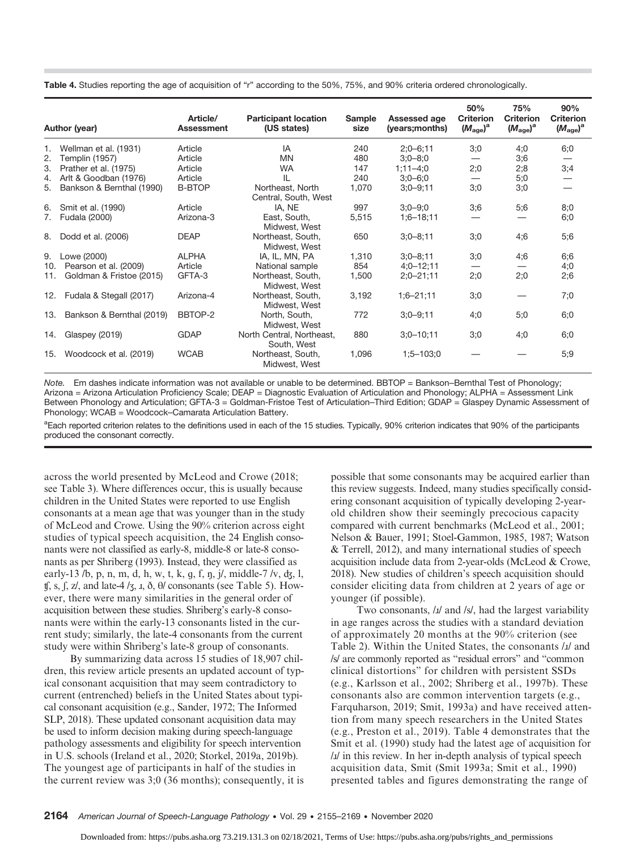Table 4. Studies reporting the age of acquisition of "r" according to the 50%, 75%, and 90% criteria ordered chronologically.

|     | Author (year)             | Article/<br>Assessment | <b>Participant location</b><br>(US states) | Sample<br>size | Assessed age<br>(years;months) | 50%<br><b>Criterion</b><br>$(M_{\text{age}})^a$ | 75%<br><b>Criterion</b><br>$(M_{\text{age}})^a$ | 90%<br><b>Criterion</b><br>$(M_{\text{age}})^a$ |
|-----|---------------------------|------------------------|--------------------------------------------|----------------|--------------------------------|-------------------------------------------------|-------------------------------------------------|-------------------------------------------------|
| 1.  | Wellman et al. (1931)     | Article                | IA                                         | 240            | $2:0-6:11$                     | 3;0                                             | 4;0                                             | 6;0                                             |
| 2.  | Templin (1957)            | Article                | <b>MN</b>                                  | 480            | $3:0 - 8:0$                    |                                                 | 3;6                                             |                                                 |
| 3.  | Prather et al. (1975)     | Article                | <b>WA</b>                                  | 147            | $1:11 - 4:0$                   | 2;0                                             | 2;8                                             | 3;4                                             |
| 4.  | Arlt & Goodban (1976)     | Article                | IL                                         | 240            | $3:0 - 6:0$                    |                                                 | 5;0                                             |                                                 |
| 5.  | Bankson & Bernthal (1990) | <b>B-BTOP</b>          | Northeast, North<br>Central, South, West   | 1,070          | $3:0 - 9:11$                   | 3;0                                             | 3;0                                             |                                                 |
| 6.  | Smit et al. (1990)        | Article                | IA, NE                                     | 997            | $3:0 - 9:0$                    | 3;6                                             | 5;6                                             | 8;0                                             |
| 7.  | Fudala (2000)             | Arizona-3              | East, South,<br>Midwest, West              | 5,515          | $1:6 - 18:11$                  |                                                 |                                                 | 6;0                                             |
| 8.  | Dodd et al. (2006)        | <b>DEAP</b>            | Northeast, South,<br>Midwest, West         | 650            | $3:0 - 8:11$                   | 3:0                                             | 4;6                                             | 5;6                                             |
| 9.  | Lowe (2000)               | <b>ALPHA</b>           | IA, IL, MN, PA                             | 1,310          | $3:0 - 8:11$                   | 3;0                                             | 4;6                                             | 6;6                                             |
| 10. | Pearson et al. (2009)     | Article                | National sample                            | 854            | $4:0 - 12:11$                  |                                                 |                                                 | 4;0                                             |
| 11. | Goldman & Fristoe (2015)  | GFTA-3                 | Northeast, South,<br>Midwest, West         | 1,500          | $2:0 - 21:11$                  | 2;0                                             | 2;0                                             | 2;6                                             |
| 12. | Fudala & Stegall (2017)   | Arizona-4              | Northeast, South,<br>Midwest, West         | 3,192          | $1:6 - 21:11$                  | 3;0                                             |                                                 | 7:0                                             |
| 13. | Bankson & Bernthal (2019) | BBTOP-2                | North, South,<br>Midwest, West             | 772            | $3:0 - 9:11$                   | 4:0                                             | 5;0                                             | 6;0                                             |
| 14. | Glaspey (2019)            | <b>GDAP</b>            | North Central, Northeast,<br>South, West   | 880            | $3:0 - 10:11$                  | 3:0                                             | 4;0                                             | 6;0                                             |
| 15. | Woodcock et al. (2019)    | <b>WCAB</b>            | Northeast, South,<br>Midwest, West         | 1,096          | $1:5 - 103:0$                  |                                                 |                                                 | 5;9                                             |

Note. Em dashes indicate information was not available or unable to be determined. BBTOP = Bankson–Bernthal Test of Phonology; Arizona = Arizona Articulation Proficiency Scale; DEAP = Diagnostic Evaluation of Articulation and Phonology; ALPHA = Assessment Link Between Phonology and Articulation; GFTA-3 = Goldman-Fristoe Test of Articulation–Third Edition; GDAP = Glaspey Dynamic Assessment of Phonology; WCAB = Woodcock–Camarata Articulation Battery.

aEach reported criterion relates to the definitions used in each of the 15 studies. Typically, 90% criterion indicates that 90% of the participants produced the consonant correctly.

across the world presented by McLeod and Crowe (2018; see Table 3). Where differences occur, this is usually because children in the United States were reported to use English consonants at a mean age that was younger than in the study of McLeod and Crowe. Using the 90% criterion across eight studies of typical speech acquisition, the 24 English consonants were not classified as early-8, middle-8 or late-8 consonants as per Shriberg (1993). Instead, they were classified as early-13 /b, p, n, m, d, h, w, t, k, g, f, n, j/, middle-7 /v, dz, l,  $f, s, f, z',$  and late-4 /z,  $x, \delta, \theta$  consonants (see Table 5). However, there were many similarities in the general order of acquisition between these studies. Shriberg's early-8 consonants were within the early-13 consonants listed in the current study; similarly, the late-4 consonants from the current study were within Shriberg's late-8 group of consonants.

By summarizing data across 15 studies of 18,907 children, this review article presents an updated account of typical consonant acquisition that may seem contradictory to current (entrenched) beliefs in the United States about typical consonant acquisition (e.g., Sander, 1972; The Informed SLP, 2018). These updated consonant acquisition data may be used to inform decision making during speech-language pathology assessments and eligibility for speech intervention in U.S. schools (Ireland et al., 2020; Storkel, 2019a, 2019b). The youngest age of participants in half of the studies in the current review was 3;0 (36 months); consequently, it is possible that some consonants may be acquired earlier than this review suggests. Indeed, many studies specifically considering consonant acquisition of typically developing 2-yearold children show their seemingly precocious capacity compared with current benchmarks (McLeod et al., 2001; Nelson & Bauer, 1991; Stoel-Gammon, 1985, 1987; Watson & Terrell, 2012), and many international studies of speech acquisition include data from 2-year-olds (McLeod & Crowe, 2018). New studies of children's speech acquisition should consider eliciting data from children at 2 years of age or younger (if possible).

Two consonants, /*x*/ and /s/, had the largest variability in age ranges across the studies with a standard deviation of approximately 20 months at the 90% criterion (see Table 2). Within the United States, the consonants /ɹ/ and /s/ are commonly reported as "residual errors" and "common clinical distortions" for children with persistent SSDs (e.g., Karlsson et al., 2002; Shriberg et al., 1997b). These consonants also are common intervention targets (e.g., Farquharson, 2019; Smit, 1993a) and have received attention from many speech researchers in the United States (e.g., Preston et al., 2019). Table 4 demonstrates that the Smit et al. (1990) study had the latest age of acquisition for /ɹ/ in this review. In her in-depth analysis of typical speech acquisition data, Smit (Smit 1993a; Smit et al., 1990) presented tables and figures demonstrating the range of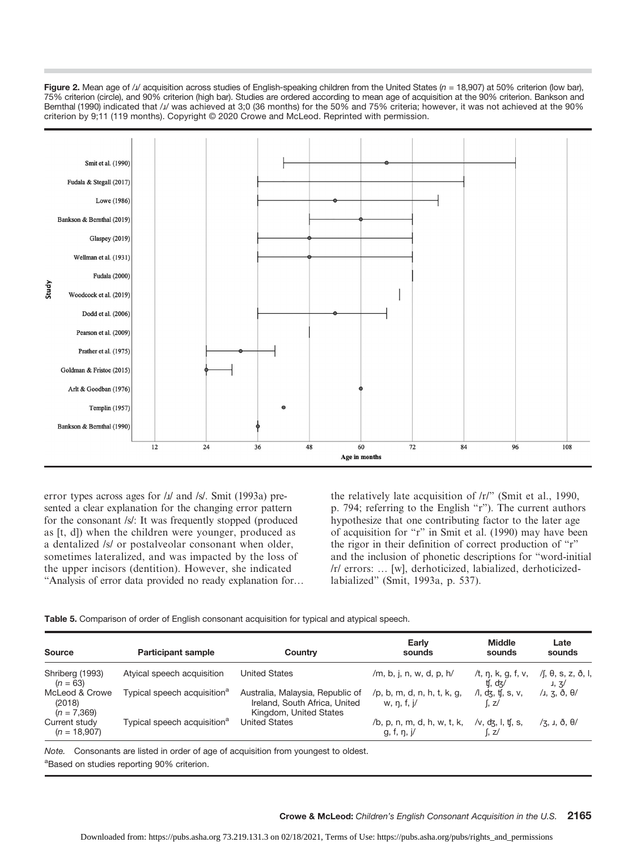Figure 2. Mean age of / $\mu$  acquisition across studies of English-speaking children from the United States ( $n = 18,907$ ) at 50% criterion (low bar), 75% criterion (circle), and 90% criterion (high bar). Studies are ordered according to mean age of acquisition at the 90% criterion. Bankson and Bernthal (1990) indicated that /i/ was achieved at 3;0 (36 months) for the 50% and 75% criteria; however, it was not achieved at the 90% criterion by 9;11 (119 months). Copyright © 2020 Crowe and McLeod. Reprinted with permission.



error types across ages for / $x$ / and /s/. Smit (1993a) presented a clear explanation for the changing error pattern for the consonant /s/: It was frequently stopped (produced as [t, d]) when the children were younger, produced as a dentalized /s/ or postalveolar consonant when older, sometimes lateralized, and was impacted by the loss of the upper incisors (dentition). However, she indicated "Analysis of error data provided no ready explanation for… the relatively late acquisition of /r/" (Smit et al., 1990, p. 794; referring to the English "r"). The current authors hypothesize that one contributing factor to the later age of acquisition for "r" in Smit et al. (1990) may have been the rigor in their definition of correct production of "r" and the inclusion of phonetic descriptions for "word-initial /r/ errors: … [w], derhoticized, labialized, derhoticizedlabialized" (Smit, 1993a, p. 537).

Table 5. Comparison of order of English consonant acquisition for typical and atypical speech.

| <b>Source</b>                             | <b>Participant sample</b>               | Country                                                                                     | Early<br>sounds                                  | <b>Middle</b><br>sounds             | Late<br>sounds                                       |
|-------------------------------------------|-----------------------------------------|---------------------------------------------------------------------------------------------|--------------------------------------------------|-------------------------------------|------------------------------------------------------|
| Shriberg (1993)<br>$(n = 63)$             | Atyical speech acquisition              | <b>United States</b>                                                                        | /m, b, j, n, w, d, p, h/                         | /t, $\eta$ , k, g, f, v,<br>tf, dz/ | $\sqrt{1}$ , $\theta$ , s, z, $\delta$ , l,<br>J, 3/ |
| McLeod & Crowe<br>(2018)<br>$(n = 7,369)$ | Typical speech acquisition <sup>a</sup> | Australia, Malaysia, Republic of<br>Ireland, South Africa, United<br>Kingdom, United States | /p, b, m, d, n, h, t, k, g,<br>w, $\eta$ , f, j/ | $\sqrt{l}$ , dz, tf, s, v,<br>(. z/ | $/J$ , 3, $\delta$ , $\theta/$                       |
| Current study<br>$(n = 18,907)$           | Typical speech acquisition <sup>a</sup> | <b>United States</b>                                                                        | /b, p, n, m, d, h, w, t, k,<br>g, f, n, j/       | /v, dʒ, l, ʧ, s,<br>ſ. z/           | $\frac{7}{3}$ , J, $\delta$ , $\theta$               |

Note. Consonants are listed in order of age of acquisition from youngest to oldest. <sup>a</sup>Based on studies reporting 90% criterion.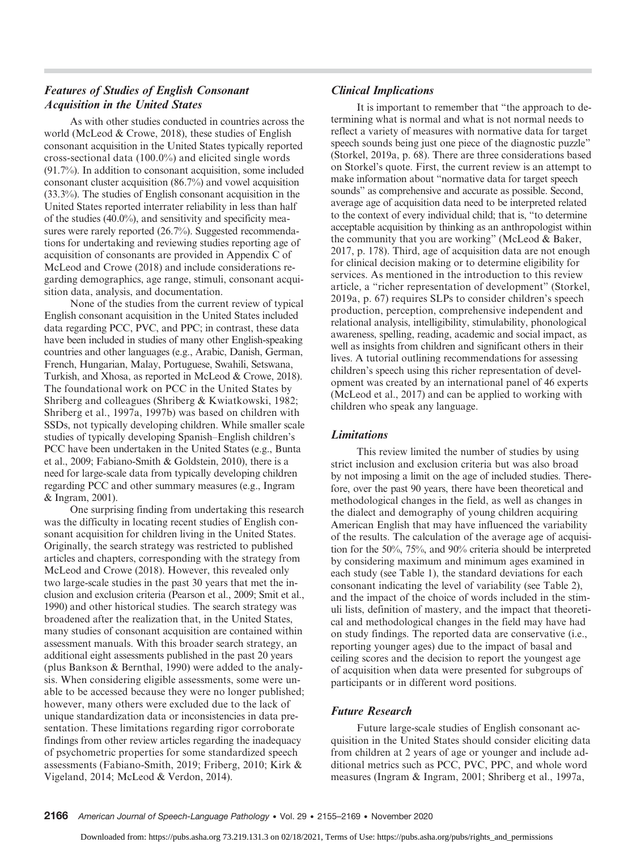# Features of Studies of English Consonant Acquisition in the United States

As with other studies conducted in countries across the world (McLeod & Crowe, 2018), these studies of English consonant acquisition in the United States typically reported cross-sectional data (100.0%) and elicited single words (91.7%). In addition to consonant acquisition, some included consonant cluster acquisition (86.7%) and vowel acquisition (33.3%). The studies of English consonant acquisition in the United States reported interrater reliability in less than half of the studies  $(40.0\%)$ , and sensitivity and specificity measures were rarely reported (26.7%). Suggested recommendations for undertaking and reviewing studies reporting age of acquisition of consonants are provided in Appendix C of McLeod and Crowe (2018) and include considerations regarding demographics, age range, stimuli, consonant acquisition data, analysis, and documentation.

None of the studies from the current review of typical English consonant acquisition in the United States included data regarding PCC, PVC, and PPC; in contrast, these data have been included in studies of many other English-speaking countries and other languages (e.g., Arabic, Danish, German, French, Hungarian, Malay, Portuguese, Swahili, Setswana, Turkish, and Xhosa, as reported in McLeod & Crowe, 2018). The foundational work on PCC in the United States by Shriberg and colleagues (Shriberg & Kwiatkowski, 1982; Shriberg et al., 1997a, 1997b) was based on children with SSDs, not typically developing children. While smaller scale studies of typically developing Spanish–English children's PCC have been undertaken in the United States (e.g., Bunta et al., 2009; Fabiano-Smith & Goldstein, 2010), there is a need for large-scale data from typically developing children regarding PCC and other summary measures (e.g., Ingram & Ingram, 2001).

One surprising finding from undertaking this research was the difficulty in locating recent studies of English consonant acquisition for children living in the United States. Originally, the search strategy was restricted to published articles and chapters, corresponding with the strategy from McLeod and Crowe (2018). However, this revealed only two large-scale studies in the past 30 years that met the inclusion and exclusion criteria (Pearson et al., 2009; Smit et al., 1990) and other historical studies. The search strategy was broadened after the realization that, in the United States, many studies of consonant acquisition are contained within assessment manuals. With this broader search strategy, an additional eight assessments published in the past 20 years (plus Bankson & Bernthal, 1990) were added to the analysis. When considering eligible assessments, some were unable to be accessed because they were no longer published; however, many others were excluded due to the lack of unique standardization data or inconsistencies in data presentation. These limitations regarding rigor corroborate findings from other review articles regarding the inadequacy of psychometric properties for some standardized speech assessments (Fabiano-Smith, 2019; Friberg, 2010; Kirk & Vigeland, 2014; McLeod & Verdon, 2014).

# Clinical Implications

It is important to remember that "the approach to determining what is normal and what is not normal needs to reflect a variety of measures with normative data for target speech sounds being just one piece of the diagnostic puzzle" (Storkel, 2019a, p. 68). There are three considerations based on Storkel's quote. First, the current review is an attempt to make information about "normative data for target speech sounds" as comprehensive and accurate as possible. Second, average age of acquisition data need to be interpreted related to the context of every individual child; that is, "to determine acceptable acquisition by thinking as an anthropologist within the community that you are working" (McLeod & Baker, 2017, p. 178). Third, age of acquisition data are not enough for clinical decision making or to determine eligibility for services. As mentioned in the introduction to this review article, a "richer representation of development" (Storkel, 2019a, p. 67) requires SLPs to consider children's speech production, perception, comprehensive independent and relational analysis, intelligibility, stimulability, phonological awareness, spelling, reading, academic and social impact, as well as insights from children and significant others in their lives. A tutorial outlining recommendations for assessing children's speech using this richer representation of development was created by an international panel of 46 experts (McLeod et al., 2017) and can be applied to working with children who speak any language.

# Limitations

This review limited the number of studies by using strict inclusion and exclusion criteria but was also broad by not imposing a limit on the age of included studies. Therefore, over the past 90 years, there have been theoretical and methodological changes in the field, as well as changes in the dialect and demography of young children acquiring American English that may have influenced the variability of the results. The calculation of the average age of acquisition for the 50%, 75%, and 90% criteria should be interpreted by considering maximum and minimum ages examined in each study (see Table 1), the standard deviations for each consonant indicating the level of variability (see Table 2), and the impact of the choice of words included in the stimuli lists, definition of mastery, and the impact that theoretical and methodological changes in the field may have had on study findings. The reported data are conservative (i.e., reporting younger ages) due to the impact of basal and ceiling scores and the decision to report the youngest age of acquisition when data were presented for subgroups of participants or in different word positions.

# Future Research

Future large-scale studies of English consonant acquisition in the United States should consider eliciting data from children at 2 years of age or younger and include additional metrics such as PCC, PVC, PPC, and whole word measures (Ingram & Ingram, 2001; Shriberg et al., 1997a,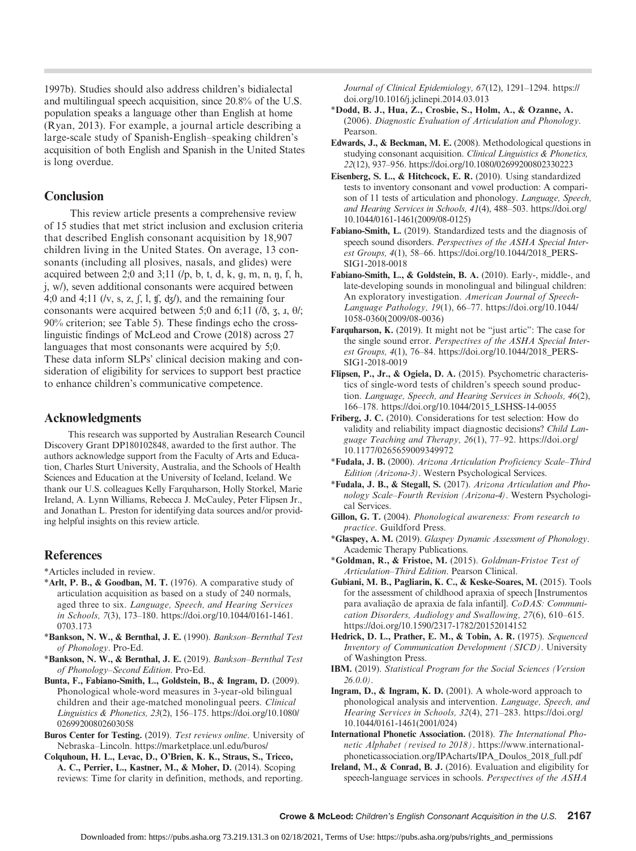1997b). Studies should also address children's bidialectal and multilingual speech acquisition, since 20.8% of the U.S. population speaks a language other than English at home (Ryan, 2013). For example, a journal article describing a large-scale study of Spanish-English–speaking children's acquisition of both English and Spanish in the United States is long overdue.

## **Conclusion**

This review article presents a comprehensive review of 15 studies that met strict inclusion and exclusion criteria that described English consonant acquisition by 18,907 children living in the United States. On average, 13 consonants (including all plosives, nasals, and glides) were acquired between 2;0 and 3;11  $/(p, b, t, d, k, q, m, n, \eta, f, h,$ j, w/), seven additional consonants were acquired between 4;0 and 4;11 (/v, s, z,  $\int$ ,  $\int$ ,  $\int$ ,  $\frac{d\zeta}{dy}$ ), and the remaining four consonants were acquired between 5;0 and 6;11 ( $/$ ð,  $\overline{3}$ ,  $\overline{4}$ ,  $\theta$ ); 90% criterion; see Table 5). These findings echo the crosslinguistic findings of McLeod and Crowe (2018) across 27 languages that most consonants were acquired by 5;0. These data inform SLPs' clinical decision making and consideration of eligibility for services to support best practice to enhance children's communicative competence.

#### Acknowledgments

This research was supported by Australian Research Council Discovery Grant DP180102848, awarded to the first author. The authors acknowledge support from the Faculty of Arts and Education, Charles Sturt University, Australia, and the Schools of Health Sciences and Education at the University of Iceland, Iceland. We thank our U.S. colleagues Kelly Farquharson, Holly Storkel, Marie Ireland, A. Lynn Williams, Rebecca J. McCauley, Peter Flipsen Jr., and Jonathan L. Preston for identifying data sources and/or providing helpful insights on this review article.

# **References**

\*Articles included in review.

- \*Arlt, P. B., & Goodban, M. T. (1976). A comparative study of articulation acquisition as based on a study of 240 normals, aged three to six. Language, Speech, and Hearing Services in Schools, 7(3), 173–180. [https://doi.org/10.1044/0161-1461.](https://doi.org/10.1044/0161-1461.0703.173) [0703.173](https://doi.org/10.1044/0161-1461.0703.173)
- \*Bankson, N. W., & Bernthal, J. E. (1990). Bankson–Bernthal Test of Phonology. Pro-Ed.
- \*Bankson, N. W., & Bernthal, J. E. (2019). Bankson–Bernthal Test of Phonology–Second Edition. Pro-Ed.
- Bunta, F., Fabiano-Smith, L., Goldstein, B., & Ingram, D. (2009). Phonological whole-word measures in 3-year-old bilingual children and their age-matched monolingual peers. Clinical Linguistics & Phonetics, 23(2), 156–175. [https://doi.org/10.1080/](https://doi.org/10.1080/02699200802603058) [02699200802603058](https://doi.org/10.1080/02699200802603058)

Buros Center for Testing. (2019). Test reviews online. University of Nebraska–Lincoln.<https://marketplace.unl.edu/buros/>

Colquhoun, H. L., Levac, D., O'Brien, K. K., Straus, S., Tricco, A. C., Perrier, L., Kastner, M., & Moher, D. (2014). Scoping reviews: Time for clarity in definition, methods, and reporting. Journal of Clinical Epidemiology, 67(12), 1291–1294. [https://](https://doi.org/10.1016/j.jclinepi.2014.03.013) [doi.org/10.1016/j.jclinepi.2014.03.013](https://doi.org/10.1016/j.jclinepi.2014.03.013)

- \*Dodd, B. J., Hua, Z., Crosbie, S., Holm, A., & Ozanne, A. (2006). Diagnostic Evaluation of Articulation and Phonology. Pearson.
- Edwards, J., & Beckman, M. E. (2008). Methodological questions in studying consonant acquisition. Clinical Linguistics & Phonetics, 22(12), 937–956.<https://doi.org/10.1080/02699200802330223>
- Eisenberg, S. L., & Hitchcock, E. R. (2010). Using standardized tests to inventory consonant and vowel production: A comparison of 11 tests of articulation and phonology. Language, Speech, and Hearing Services in Schools, 41(4), 488–503. [https://doi.org/](https://doi.org/10.1044/0161-1461(2009/08-0125)) [10.1044/0161-1461\(2009/08-0125\)](https://doi.org/10.1044/0161-1461(2009/08-0125))
- Fabiano-Smith, L. (2019). Standardized tests and the diagnosis of speech sound disorders. Perspectives of the ASHA Special Interest Groups, 4(1), 58–66. [https://doi.org/10.1044/2018\\_PERS-](https://doi.org/10.1044/2018_PERS-SIG1-2018-0018)[SIG1-2018-0018](https://doi.org/10.1044/2018_PERS-SIG1-2018-0018)
- Fabiano-Smith, L., & Goldstein, B. A. (2010). Early-, middle-, and late-developing sounds in monolingual and bilingual children: An exploratory investigation. American Journal of Speech-Language Pathology, 19(1), 66–77. [https://doi.org/10.1044/](https://doi.org/10.1044/1058-0360(2009/08-0036)) [1058-0360\(2009/08-0036\)](https://doi.org/10.1044/1058-0360(2009/08-0036))
- Farquharson, K. (2019). It might not be "just artic": The case for the single sound error. Perspectives of the ASHA Special Interest Groups, 4(1), 76–84. [https://doi.org/10.1044/2018\\_PERS-](https://doi.org/10.1044/2018_PERS-SIG1-2018-0019)[SIG1-2018-0019](https://doi.org/10.1044/2018_PERS-SIG1-2018-0019)
- Flipsen, P., Jr., & Ogiela, D. A. (2015). Psychometric characteristics of single-word tests of children's speech sound production. Language, Speech, and Hearing Services in Schools, 46(2), 166–178. [https://doi.org/10.1044/2015\\_LSHSS-14-0055](https://doi.org/10.1044/2015_LSHSS-14-0055)
- Friberg, J. C. (2010). Considerations for test selection: How do validity and reliability impact diagnostic decisions? Child Language Teaching and Therapy, 26(1), 77–92. [https://doi.org/](https://doi.org/10.1177/0265659009349972) [10.1177/0265659009349972](https://doi.org/10.1177/0265659009349972)
- \*Fudala, J. B. (2000). Arizona Articulation Proficiency Scale–Third Edition (Arizona-3). Western Psychological Services.
- \*Fudala, J. B., & Stegall, S. (2017). Arizona Articulation and Phonology Scale–Fourth Revision (Arizona-4). Western Psychological Services.
- Gillon, G. T. (2004). Phonological awareness: From research to practice. Guildford Press.
- \*Glaspey, A. M. (2019). Glaspey Dynamic Assessment of Phonology. Academic Therapy Publications.
- \*Goldman, R., & Fristoe, M. (2015). Goldman-Fristoe Test of Articulation–Third Edition. Pearson Clinical.
- Gubiani, M. B., Pagliarin, K. C., & Keske-Soares, M. (2015). Tools for the assessment of childhood apraxia of speech [Instrumentos para avaliação de apraxia de fala infantil]. CoDAS: Communication Disorders, Audiology and Swallowing, 27(6), 610–615. <https://doi.org/10.1590/2317-1782/20152014152>
- Hedrick, D. L., Prather, E. M., & Tobin, A. R. (1975). Sequenced Inventory of Communication Development (SICD). University of Washington Press.
- IBM. (2019). Statistical Program for the Social Sciences (Version  $26.0.0$ .
- Ingram, D., & Ingram, K. D. (2001). A whole-word approach to phonological analysis and intervention. Language, Speech, and Hearing Services in Schools, 32(4), 271–283. [https://doi.org/](https://doi.org/10.1044/0161-1461(2001/024)) [10.1044/0161-1461\(2001/024\)](https://doi.org/10.1044/0161-1461(2001/024))
- International Phonetic Association. (2018). The International Phonetic Alphabet (revised to 2018). [https://www.international](https://www.internationalphoneticassociation.org/IPAcharts/IPA_Doulos_2018_full.pdf)[phoneticassociation.org/IPAcharts/IPA\\_Doulos\\_2018\\_full.pdf](https://www.internationalphoneticassociation.org/IPAcharts/IPA_Doulos_2018_full.pdf)
- Ireland, M., & Conrad, B. J. (2016). Evaluation and eligibility for speech-language services in schools. Perspectives of the ASHA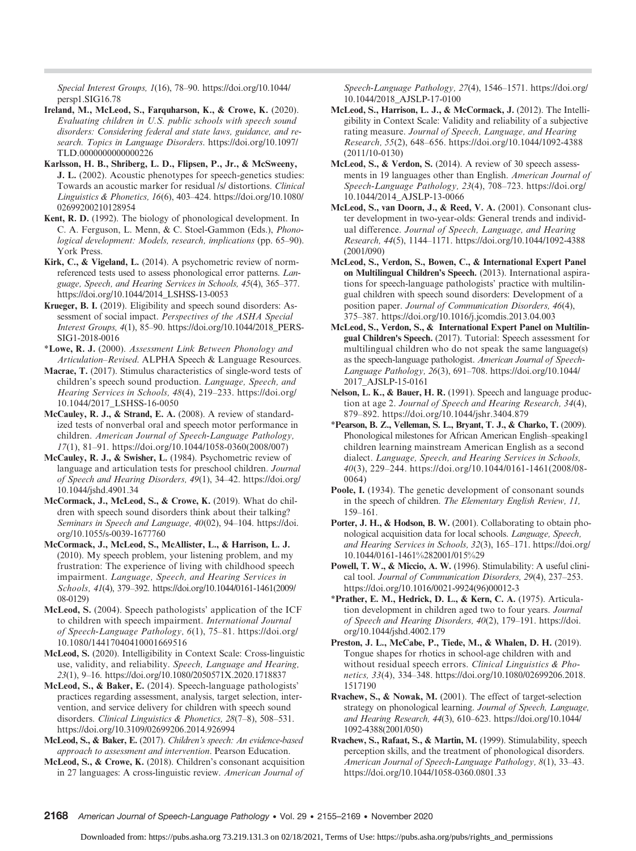Special Interest Groups, 1(16), 78–90. [https://doi.org/10.1044/](https://doi.org/10.1044/persp1.SIG16.78) [persp1.SIG16.78](https://doi.org/10.1044/persp1.SIG16.78)

- Ireland, M., McLeod, S., Farquharson, K., & Crowe, K. (2020). Evaluating children in U.S. public schools with speech sound disorders: Considering federal and state laws, guidance, and research. Topics in Language Disorders. [https://doi.org/10.1097/](https://doi.org/10.1097/TLD.0000000000000226) [TLD.0000000000000226](https://doi.org/10.1097/TLD.0000000000000226)
- Karlsson, H. B., Shriberg, L. D., Flipsen, P., Jr., & McSweeny, J. L. (2002). Acoustic phenotypes for speech-genetics studies: Towards an acoustic marker for residual /s/ distortions. Clinical Linguistics & Phonetics, 16(6), 403–424. [https://doi.org/10.1080/](https://doi.org/10.1080/02699200210128954) [02699200210128954](https://doi.org/10.1080/02699200210128954)
- Kent, R. D. (1992). The biology of phonological development. In C. A. Ferguson, L. Menn, & C. Stoel-Gammon (Eds.), Phonological development: Models, research, implications (pp. 65–90). York Press.
- Kirk, C., & Vigeland, L. (2014). A psychometric review of normreferenced tests used to assess phonological error patterns. Language, Speech, and Hearing Services in Schools, 45(4), 365–377. [https://doi.org/10.1044/2014\\_LSHSS-13-0053](https://doi.org/10.1044/2014_LSHSS-13-0053)
- Krueger, B. I. (2019). Eligibility and speech sound disorders: Assessment of social impact. Perspectives of the ASHA Special Interest Groups, 4(1), 85–90. [https://doi.org/10.1044/2018\\_PERS-](https://doi.org/10.1044/2018_PERS-SIG1-2018-0016)[SIG1-2018-0016](https://doi.org/10.1044/2018_PERS-SIG1-2018-0016)
- \*Lowe, R. J. (2000). Assessment Link Between Phonology and Articulation–Revised. ALPHA Speech & Language Resources.
- Macrae, T. (2017). Stimulus characteristics of single-word tests of children's speech sound production. Language, Speech, and Hearing Services in Schools, 48(4), 219–233. [https://doi.org/](https://doi.org/10.1044/2017_LSHSS-16-0050) [10.1044/2017\\_LSHSS-16-0050](https://doi.org/10.1044/2017_LSHSS-16-0050)
- McCauley, R. J., & Strand, E. A. (2008). A review of standardized tests of nonverbal oral and speech motor performance in children. American Journal of Speech-Language Pathology, 17(1), 81–91. [https://doi.org/10.1044/1058-0360\(2008/007\)](https://doi.org/10.1044/1058-0360(2008/007))
- McCauley, R. J., & Swisher, L. (1984). Psychometric review of language and articulation tests for preschool children. Journal of Speech and Hearing Disorders, 49(1), 34–42. [https://doi.org/](https://doi.org/10.1044/jshd.4901.34) [10.1044/jshd.4901.34](https://doi.org/10.1044/jshd.4901.34)
- McCormack, J., McLeod, S., & Crowe, K. (2019). What do children with speech sound disorders think about their talking? Seminars in Speech and Language, 40(02), 94–104. [https://doi.](https://doi.org/10.1055/s-0039-1677760) [org/10.1055/s-0039-1677760](https://doi.org/10.1055/s-0039-1677760)
- McCormack, J., McLeod, S., McAllister, L., & Harrison, L. J. (2010). My speech problem, your listening problem, and my frustration: The experience of living with childhood speech impairment. Language, Speech, and Hearing Services in Schools, 41(4), 379–392. [https://doi.org/10.1044/0161-1461\(2009/](https://doi.org/10.1044/0161-1461(2009/08-0129)) [08-0129\)](https://doi.org/10.1044/0161-1461(2009/08-0129))
- McLeod, S. (2004). Speech pathologists' application of the ICF to children with speech impairment. International Journal of Speech-Language Pathology, 6(1), 75–81. [https://doi.org/](https://doi.org/10.1080/14417040410001669516) [10.1080/14417040410001669516](https://doi.org/10.1080/14417040410001669516)
- McLeod, S. (2020). Intelligibility in Context Scale: Cross-linguistic use, validity, and reliability. Speech, Language and Hearing, 23(1), 9–16.<https://doi.org/10.1080/2050571X.2020.1718837>
- McLeod, S., & Baker, E. (2014). Speech-language pathologists' practices regarding assessment, analysis, target selection, intervention, and service delivery for children with speech sound disorders. Clinical Linguistics & Phonetics, 28(7–8), 508–531. <https://doi.org/10.3109/02699206.2014.926994>
- McLeod, S., & Baker, E. (2017). Children's speech: An evidence-based approach to assessment and intervention. Pearson Education.
- McLeod, S., & Crowe, K. (2018). Children's consonant acquisition in 27 languages: A cross-linguistic review. American Journal of

Speech-Language Pathology, 27(4), 1546–1571. [https://doi.org/](https://doi.org/10.1044/2018_AJSLP-17-0100) [10.1044/2018\\_AJSLP-17-0100](https://doi.org/10.1044/2018_AJSLP-17-0100)

- McLeod, S., Harrison, L. J., & McCormack, J. (2012). The Intelligibility in Context Scale: Validity and reliability of a subjective rating measure. Journal of Speech, Language, and Hearing Research, 55(2), 648–656. [https://doi.org/10.1044/1092-4388](https://doi.org/10.1044/1092-4388(2011/10-0130)) [\(2011/10-0130\)](https://doi.org/10.1044/1092-4388(2011/10-0130))
- McLeod, S., & Verdon, S. (2014). A review of 30 speech assessments in 19 languages other than English. American Journal of Speech-Language Pathology, 23(4), 708–723. [https://doi.org/](https://doi.org/10.1044/2014_AJSLP-13-0066) [10.1044/2014\\_AJSLP-13-0066](https://doi.org/10.1044/2014_AJSLP-13-0066)
- McLeod, S., van Doorn, J., & Reed, V. A. (2001). Consonant cluster development in two-year-olds: General trends and individual difference. Journal of Speech, Language, and Hearing Research, 44(5), 1144–1171. [https://doi.org/10.1044/1092-4388](https://doi.org/10.1044/1092-4388(2001/090)) [\(2001/090\)](https://doi.org/10.1044/1092-4388(2001/090))
- McLeod, S., Verdon, S., Bowen, C., & International Expert Panel on Multilingual Children's Speech. (2013). International aspirations for speech-language pathologists' practice with multilingual children with speech sound disorders: Development of a position paper. Journal of Communication Disorders, 46(4), 375–387.<https://doi.org/10.1016/j.jcomdis.2013.04.003>
- McLeod, S., Verdon, S., & International Expert Panel on Multilingual Children's Speech. (2017). Tutorial: Speech assessment for multilingual children who do not speak the same language(s) as the speech-language pathologist. American Journal of Speech-Language Pathology, 26(3), 691–708. [https://doi.org/10.1044/](https://doi.org/10.1044/2017_AJSLP-15-0161) [2017\\_AJSLP-15-0161](https://doi.org/10.1044/2017_AJSLP-15-0161)
- Nelson, L. K., & Bauer, H. R. (1991). Speech and language production at age 2. Journal of Speech and Hearing Research, 34(4), 879–892.<https://doi.org/10.1044/jshr.3404.879>
- \*Pearson, B. Z., Velleman, S. L., Bryant, T. J., & Charko, T. (2009). Phonological milestones for African American English–speaking1 children learning mainstream American English as a second dialect. Language, Speech, and Hearing Services in Schools, 40(3), 229–244. [https://doi.org/10.1044/0161-1461\(2008/08-](https://doi.org/10.1044/0161-1461(2008/08-0064)) [0064\)](https://doi.org/10.1044/0161-1461(2008/08-0064))
- Poole, I. (1934). The genetic development of consonant sounds in the speech of children. The Elementary English Review, 11, 159–161.
- Porter, J. H., & Hodson, B. W. (2001). Collaborating to obtain phonological acquisition data for local schools. Language, Speech, and Hearing Services in Schools, 32(3), 165–171. [https://doi.org/](https://doi.org/10.1044/0161-1461%282001/015%29) [10.1044/0161-1461%282001/015%29](https://doi.org/10.1044/0161-1461%282001/015%29)
- Powell, T. W., & Miccio, A. W. (1996). Stimulability: A useful clinical tool. Journal of Communication Disorders, 29(4), 237–253. [https://doi.org/10.1016/0021-9924\(96\)00012-3](https://doi.org/10.1016/0021-9924(96)00012-3)
- \*Prather, E. M., Hedrick, D. L., & Kern, C. A. (1975). Articulation development in children aged two to four years. Journal of Speech and Hearing Disorders, 40(2), 179–191. [https://doi.](https://doi.org/10.1044/jshd.4002.179) [org/10.1044/jshd.4002.179](https://doi.org/10.1044/jshd.4002.179)
- Preston, J. L., McCabe, P., Tiede, M., & Whalen, D. H. (2019). Tongue shapes for rhotics in school-age children with and without residual speech errors. Clinical Linguistics & Phonetics, 33(4), 334–348. [https://doi.org/10.1080/02699206.2018.](https://doi.org/10.1080/02699206.2018.1517190) [1517190](https://doi.org/10.1080/02699206.2018.1517190)
- Rvachew, S., & Nowak, M. (2001). The effect of target-selection strategy on phonological learning. Journal of Speech, Language, and Hearing Research, 44(3), 610–623. [https://doi.org/10.1044/](https://doi.org/10.1044/1092-4388(2001/050)) [1092-4388\(2001/050\)](https://doi.org/10.1044/1092-4388(2001/050))
- Rvachew, S., Rafaat, S., & Martin, M. (1999). Stimulability, speech perception skills, and the treatment of phonological disorders. American Journal of Speech-Language Pathology, 8(1), 33–43. <https://doi.org/10.1044/1058-0360.0801.33>